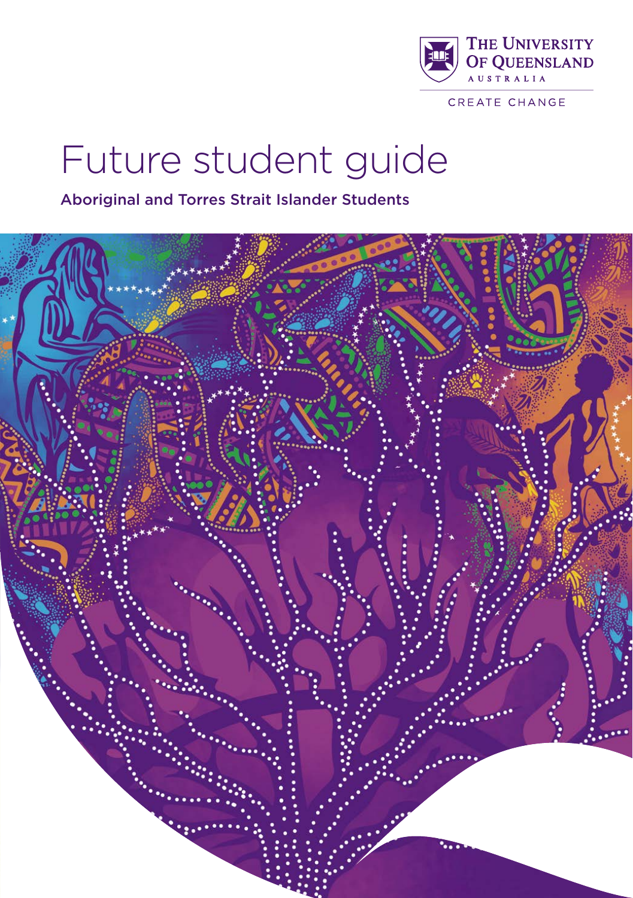

CREATE CHANGE

# Future student guide

Aboriginal and Torres Strait Islander Students

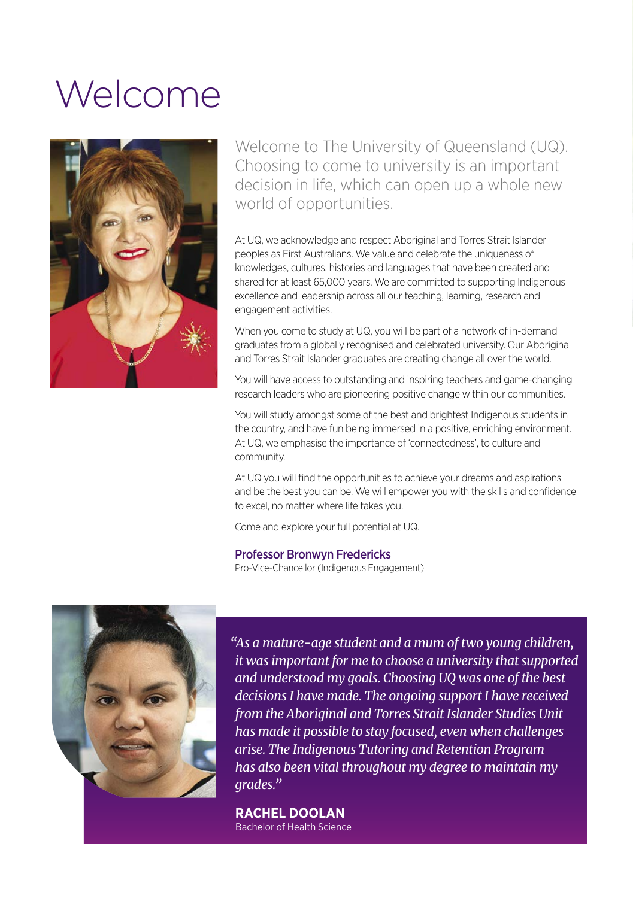# Welcome



Welcome to The University of Queensland (UQ). Choosing to come to university is an important decision in life, which can open up a whole new world of opportunities.

At UQ, we acknowledge and respect Aboriginal and Torres Strait Islander peoples as First Australians. We value and celebrate the uniqueness of knowledges, cultures, histories and languages that have been created and shared for at least 65,000 years. We are committed to supporting Indigenous excellence and leadership across all our teaching, learning, research and engagement activities.

When you come to study at UQ, you will be part of a network of in-demand graduates from a globally recognised and celebrated university. Our Aboriginal and Torres Strait Islander graduates are creating change all over the world.

You will have access to outstanding and inspiring teachers and game-changing research leaders who are pioneering positive change within our communities.

You will study amongst some of the best and brightest Indigenous students in the country, and have fun being immersed in a positive, enriching environment. At UQ, we emphasise the importance of 'connectedness', to culture and community.

At UQ you will find the opportunities to achieve your dreams and aspirations and be the best you can be. We will empower you with the skills and confidence to excel, no matter where life takes you.

Come and explore your full potential at UQ.

Professor Bronwyn Fredericks

Pro-Vice-Chancellor (Indigenous Engagement)



*"As a mature-age student and a mum of two young children, it was important for me to choose a university that supported and understood my goals. Choosing UQ was one of the best decisions I have made. The ongoing support I have received from the Aboriginal and Torres Strait Islander Studies Unit has made it possible to stay focused, even when challenges arise. The Indigenous Tutoring and Retention Program has also been vital throughout my degree to maintain my grades."*

**RACHEL DOOLAN** Bachelor of Health Science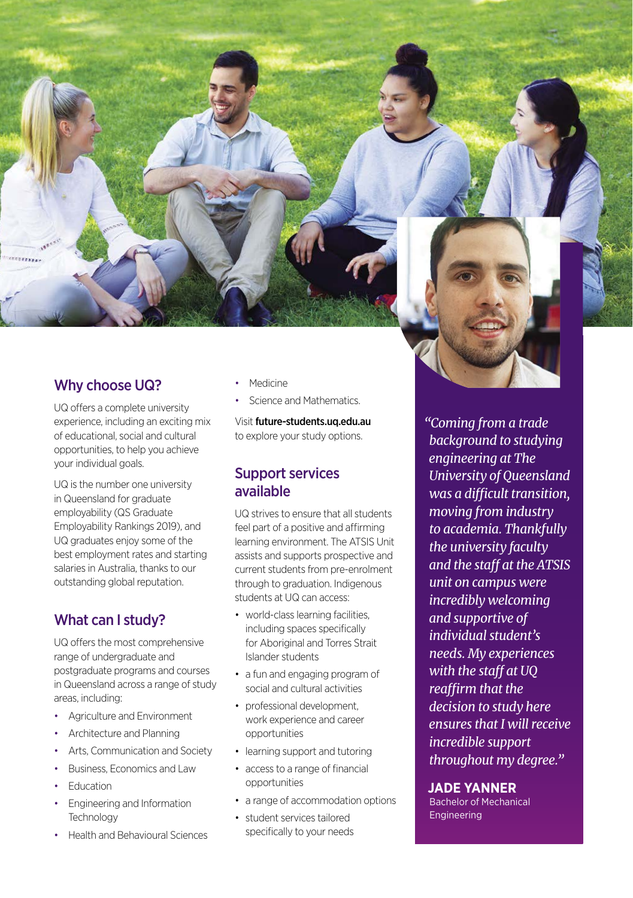

## Why choose UQ?

UQ offers a complete university experience, including an exciting mix of educational, social and cultural opportunities, to help you achieve your individual goals.

UQ is the number one university in Queensland for graduate employability (QS Graduate Employability Rankings 2019), and UQ graduates enjoy some of the best employment rates and starting salaries in Australia, thanks to our outstanding global reputation.

# What can I study?

UQ offers the most comprehensive range of undergraduate and postgraduate programs and courses in Queensland across a range of study areas, including:

- Agriculture and Environment
- Architecture and Planning
- Arts, Communication and Society
- Business, Economics and Law
- **Fducation**
- Engineering and Information **Technology**
- Health and Behavioural Sciences
- **Medicine**
- Science and Mathematics.

Visit [future-students.uq.edu.au](http://future-students.uq.edu.au) to explore your study options.

## Support services available

UQ strives to ensure that all students feel part of a positive and affirming learning environment. The ATSIS Unit assists and supports prospective and current students from pre-enrolment through to graduation. Indigenous students at UQ can access:

- world-class learning facilities, including spaces specifically for Aboriginal and Torres Strait Islander students
- a fun and engaging program of social and cultural activities
- professional development, work experience and career opportunities
- learning support and tutoring
- access to a range of financial opportunities
- a range of accommodation options
- student services tailored specifically to your needs

*"Coming from a trade background to studying engineering at The University of Queensland was a difficult transition, moving from industry to academia. Thankfully the university faculty and the staff at the ATSIS unit on campus were incredibly welcoming and supportive of individual student's needs. My experiences with the staff at UQ reaffirm that the decision to study here ensures that I will receive incredible support throughout my degree."*

#### **JADE YANNER**

Bachelor of Mechanical **Engineering**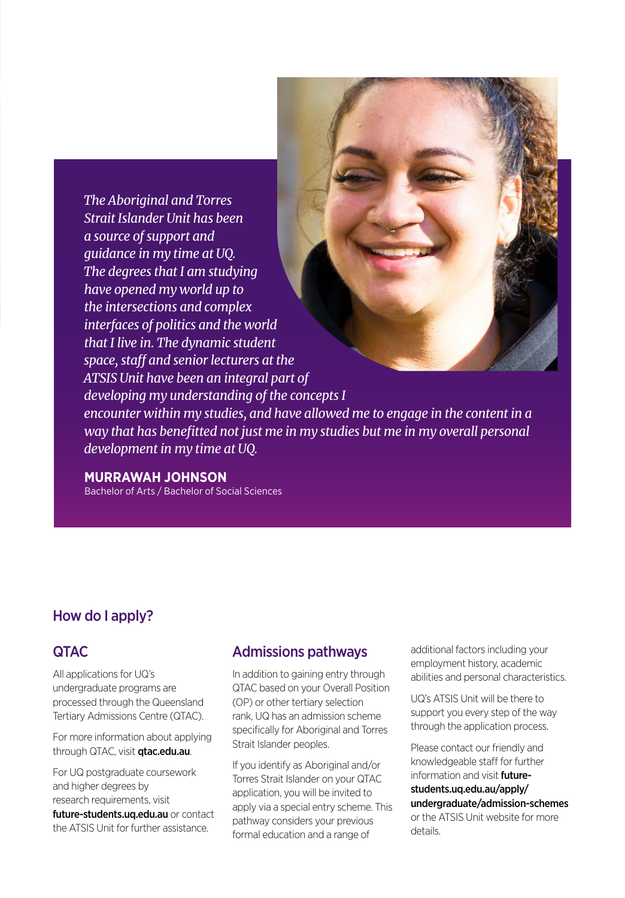*The Aboriginal and Torres Strait Islander Unit has been a source of support and guidance in my time at UQ. The degrees that I am studying have opened my world up to the intersections and complex interfaces of politics and the world that I live in. The dynamic student space, staff and senior lecturers at the ATSIS Unit have been an integral part of developing my understanding of the concepts I encounter within my studies, and have allowed me to engage in the content in a way that has benefitted not just me in my studies but me in my overall personal development in my time at UQ.*

#### **MURRAWAH JOHNSON**

Bachelor of Arts / Bachelor of Social Sciences

## How do I apply?

## **OTAC**

All applications for UQ's undergraduate programs are processed through the Queensland Tertiary Admissions Centre (QTAC).

For more information about applying through QTAC, visit **gtac.edu.au**.

For UQ postgraduate coursework and higher degrees by research requirements, visit [future-students.uq.edu.au](http://future-students.uq.edu.au) or contact the ATSIS Unit for further assistance.

## Admissions pathways

In addition to gaining entry through QTAC based on your Overall Position (OP) or other tertiary selection rank, UQ has an admission scheme specifically for Aboriginal and Torres Strait Islander peoples.

If you identify as Aboriginal and/or Torres Strait Islander on your QTAC application, you will be invited to apply via a special entry scheme. This pathway considers your previous formal education and a range of

additional factors including your employment history, academic abilities and personal characteristics.

UQ's ATSIS Unit will be there to support you every step of the way through the application process.

Please contact our friendly and knowledgeable staff for further information and visit **[future](http://future-students.uq.edu.au/apply/undergraduate/admission-schemes)**[students.uq.edu.au/apply/](http://future-students.uq.edu.au/apply/undergraduate/admission-schemes) [undergraduate/admission-schemes](http://future-students.uq.edu.au/apply/undergraduate/admission-schemes) or the ATSIS Unit website for more details.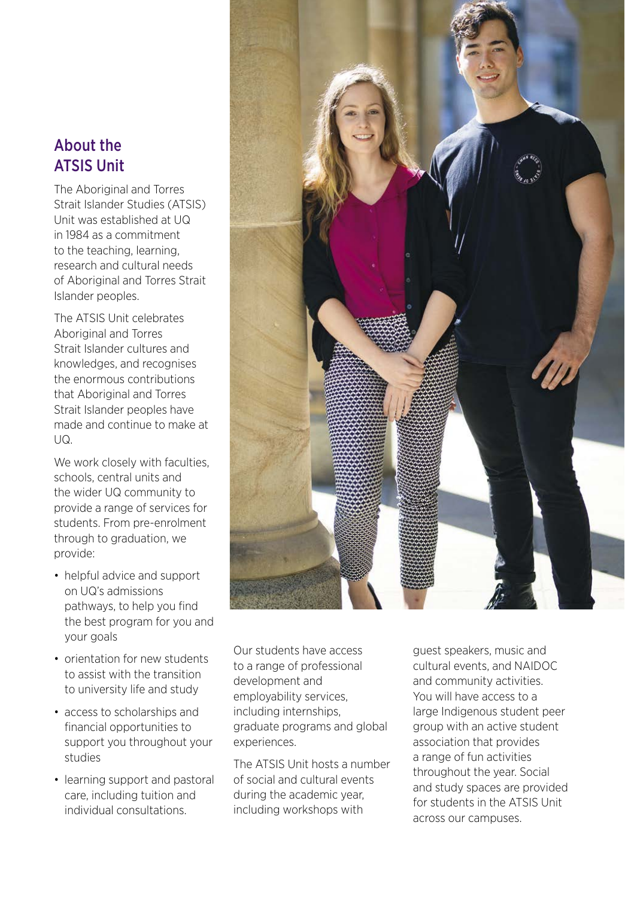# About the ATSIS Unit

The Aboriginal and Torres Strait Islander Studies (ATSIS) Unit was established at UQ in 1984 as a commitment to the teaching, learning, research and cultural needs of Aboriginal and Torres Strait Islander peoples.

The ATSIS Unit celebrates Aboriginal and Torres Strait Islander cultures and knowledges, and recognises the enormous contributions that Aboriginal and Torres Strait Islander peoples have made and continue to make at  $U<sub>Q</sub>$ 

We work closely with faculties, schools, central units and the wider UQ community to provide a range of services for students. From pre-enrolment through to graduation, we provide:

- helpful advice and support on UQ's admissions pathways, to help you find the best program for you and your goals
- orientation for new students to assist with the transition to university life and study
- access to scholarships and financial opportunities to support you throughout your studies
- learning support and pastoral care, including tuition and individual consultations.

Our students have access to a range of professional development and employability services, including internships, graduate programs and global experiences.

The ATSIS Unit hosts a number of social and cultural events during the academic year, including workshops with

guest speakers, music and cultural events, and NAIDOC and community activities. You will have access to a large Indigenous student peer group with an active student association that provides a range of fun activities throughout the year. Social and study spaces are provided for students in the ATSIS Unit across our campuses.